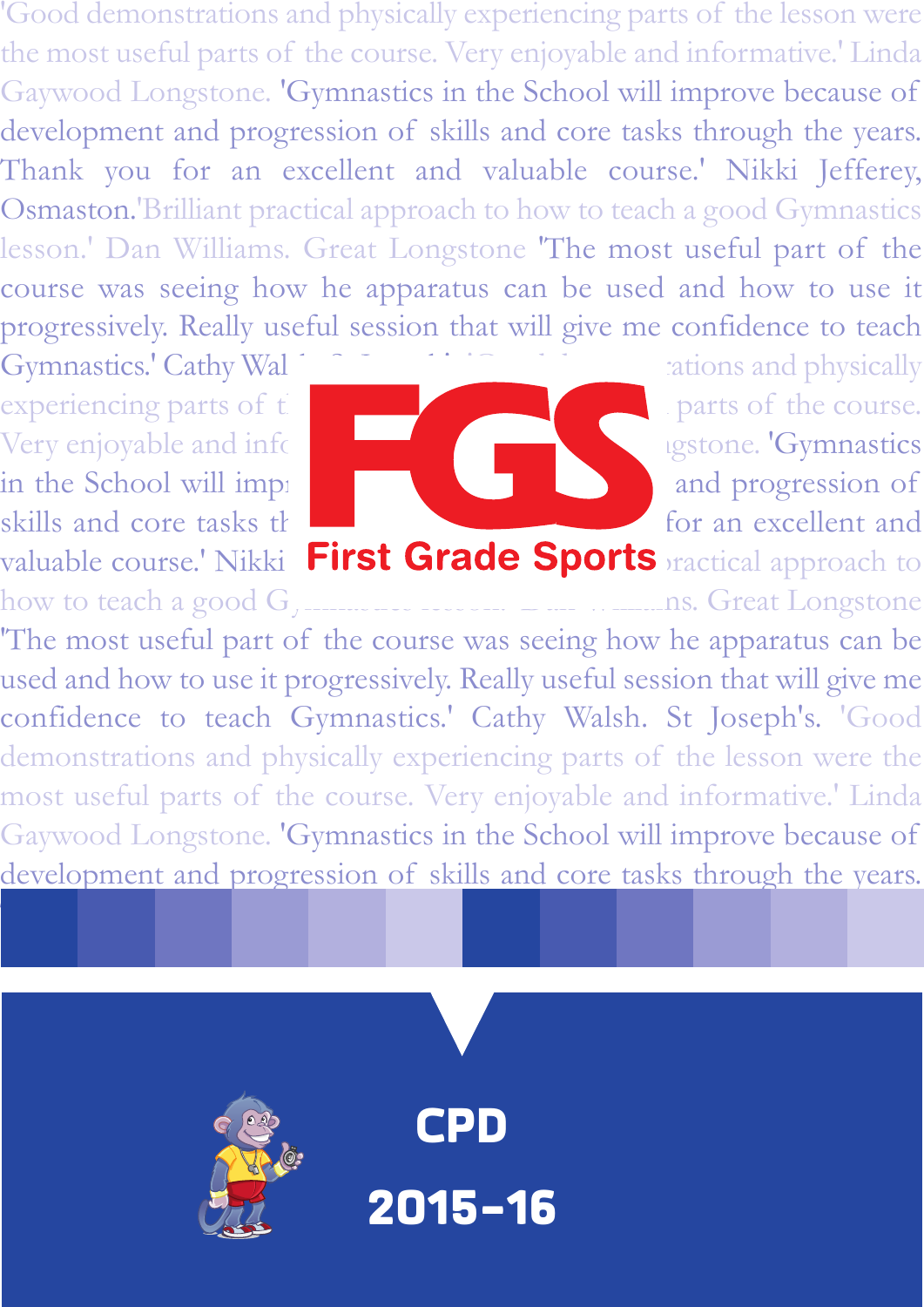'Good demonstrations and physically experiencing parts of the lesson were the most useful parts of the course. Very enjoyable and informative.' Linda Gaywood Longstone. 'Gymnastics in the School will improve because of development and progression of skills and core tasks through the years. Thank you for an excellent and valuable course.' Nikki Jefferey, Osmaston.'Brilliant practical approach to how to teach a good Gymnastics lesson.' Dan Williams. Great Longstone 'The most useful part of the course was seeing how he apparatus can be used and how to use it progressively. Really useful session that will give me confidence to teach

valuable course.' Nikki First Grade Sports ractical approach to how to teach a good Gymnastics lesson.' Dan Williams. Great Longstone



Gymnastics.' Cathy Wal https://www.cations and physically

'The most useful part of the course was seeing how he apparatus can be used and how to use it progressively. Really useful session that will give me confidence to teach Gymnastics.' Cathy Walsh. St Joseph's. 'Good demonstrations and physically experiencing parts of the lesson were the most useful parts of the course. Very enjoyable and informative.' Linda Gaywood Longstone. 'Gymnastics in the School will improve because of development and progression of skills and core tasks through the years.

Thank you for an excellent and valuable course.' Nikki Jefferey, Osmaston.

**CPD**

**2015-16**

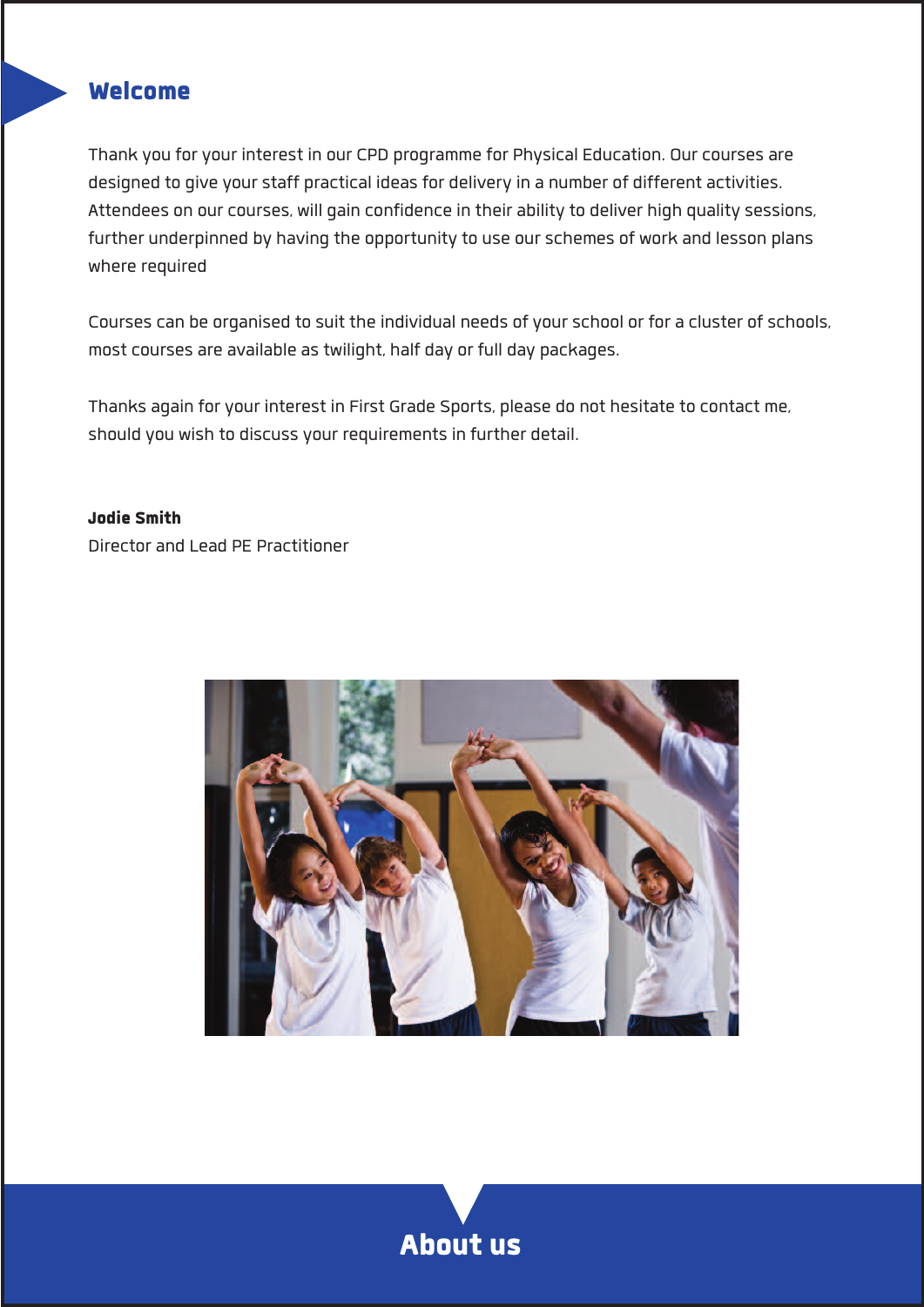## **Welcome**

**Thank you foryour interest in our CPD programme for Physical Education. Ourcourses are designed to give yourstaff practical ideasfor deliveryin a number of different activities. Attendees on ourcourses, will gain confidence in their abilityto deliver high qualitysessions, further underpinned by having the opportunityto use ourschemes of work and lesson plans where required**

**Coursescan be organised to suit the individual needs ofyourschool or for a cluster ofschools, mostcourses are available astwilight, half day or full day packages.**

**Thanks again foryour interest in First Grade Sports, please do not hesitate to contact me, should you wish to discussyour requirementsin further detail.**

#### **Jodie Smith**

**Director and Lead PE Practitioner**



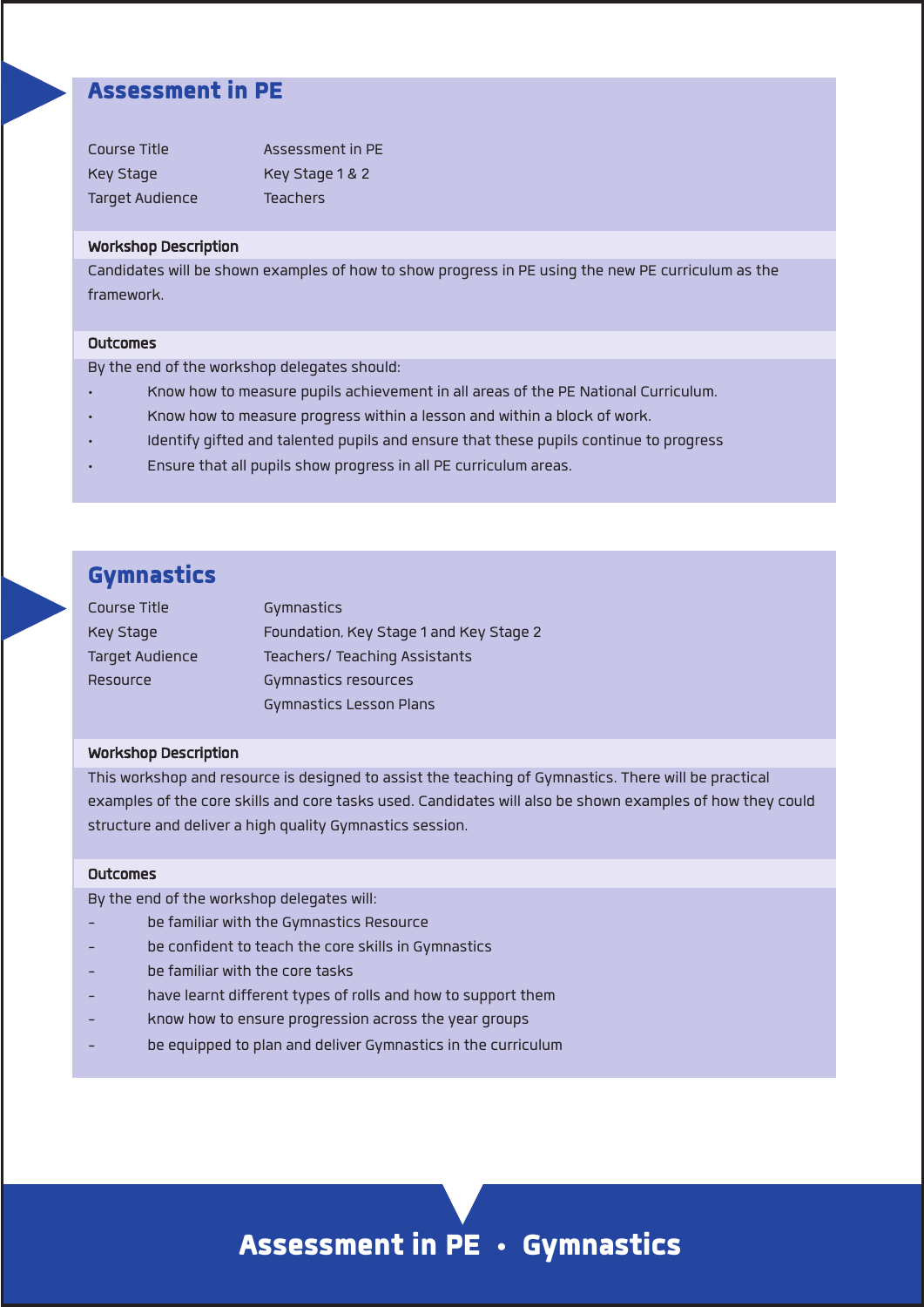### **Assessment in PE**

| Course Title           | Assessment in PF |
|------------------------|------------------|
| Key Stage              | Key Stage 1 & 2  |
| <b>Target Audience</b> | <b>Teachers</b>  |

#### **Workshop Description**

**Candidates will be shown examples of how to show progressin PE using the new PE curriculum asthe framework.**

#### **Outcomes**

**Bythe end of the workshop delegatesshould:**

- **• Know how to measure pupils achievement in all areas of the PE National Curriculum.**
- **• Know how to measure progress within a lesson and within a block of work.**
- **• Identify gifted and talented pupils and ensure that these pupilscontinue to progress**
- **• Ensure that all pupilsshow progressin all PE curriculum areas.**

# **Gymnastics**

| Course Title           | Gymnastics                              |
|------------------------|-----------------------------------------|
| Key Stage              | Foundation, Key Stage 1 and Key Stage 2 |
| <b>Target Audience</b> | Teachers/ Teaching Assistants           |
| Resource               | Gymnastics resources                    |
|                        | <b>Gymnastics Lesson Plans</b>          |

#### **Workshop Description**

**This workshop and resource is designed to assist the teaching of Gymnastics. There will be practical** examples of the core skills and core tasks used. Candidates will also be shown examples of how they could **structure** and deliver a high quality Gymnastics session.

#### **Outcomes**

**Bythe end of the workshop delegates will:**

- **- be familiar with the Gymnastics Resource**
- **- be confident to teach the core skillsin Gymnastics**
- **- be familiar with the core tasks**
- **- have learnt different types of rolls and how to support them**
- **- know how to ensure progression acrossthe year groups**
- **- be equipped to plan and deliver Gymnasticsin the curriculum**

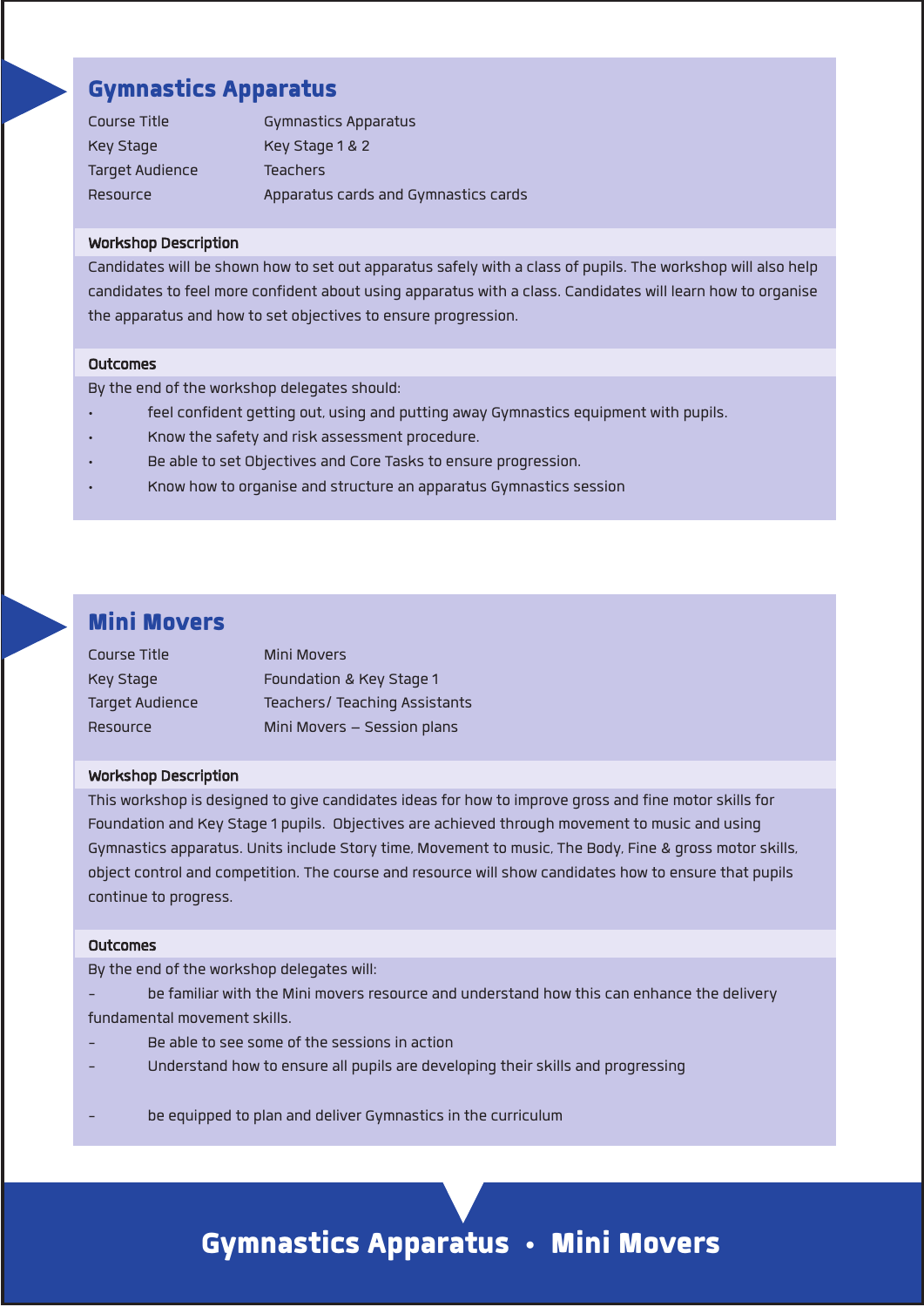# **Gymnastics Apparatus**

| Course Title    | Gymnastics Apparatus                 |
|-----------------|--------------------------------------|
| Key Stage       | Key Stage 1 & 2                      |
| Target Audience | <b>Teachers</b>                      |
| Resource        | Apparatus cards and Gymnastics cards |

#### **Workshop Description**

Candidates will be shown how to set out apparatus safely with a class of pupils. The workshop will also help **candidatesto feel more confident about using apparatus with a class. Candidates will learn how to organise the apparatus and how to set objectivesto ensure progression.**

#### **Outcomes**

**Bythe end of the workshop delegatesshould:**

- **• feelconfident getting out, using and putting away Gymnastics equipment with pupils.**
- **• Know the safety and risk assessment procedure.**
- **• Be able to set Objectives and Core Tasksto ensure progression.**
- **• Know how to organise and structure an apparatus Gymnasticssession**

### **Mini Movers**

| Course Title           | Mini Movers                   |
|------------------------|-------------------------------|
| Key Stage              | Foundation & Key Stage 1      |
| <b>Target Audience</b> | Teachers/ Teaching Assistants |
| Resource               | Mini Movers - Session plans   |

#### **Workshop Description**

**This workshop is designed to give candidatesideasfor how to improve gross and fine motorskillsfor Foundation and Key Stage 1 pupils. Objectives are achieved through movement to music and using Gymnastics apparatus. Unitsinclude Storytime, Movement to music, The Body, Fine & gross motorskills, objectcontrol and competition. The course and resource willshow candidates how to ensure that pupils continue to progress.**

#### **Outcomes**

**Bythe end of the workshop delegates will:**

- **- be familiar with the Mini moversresource and understand how thiscan enhance the delivery fundamental movementskills.**
- **- Be able to see some of the sessionsin action**
- **- Understand how to ensure all pupils are developing theirskills and progressing**
- **- be equipped to plan and deliver Gymnasticsin the curriculum**

# **Gymnastics Apparatus • Mini Movers**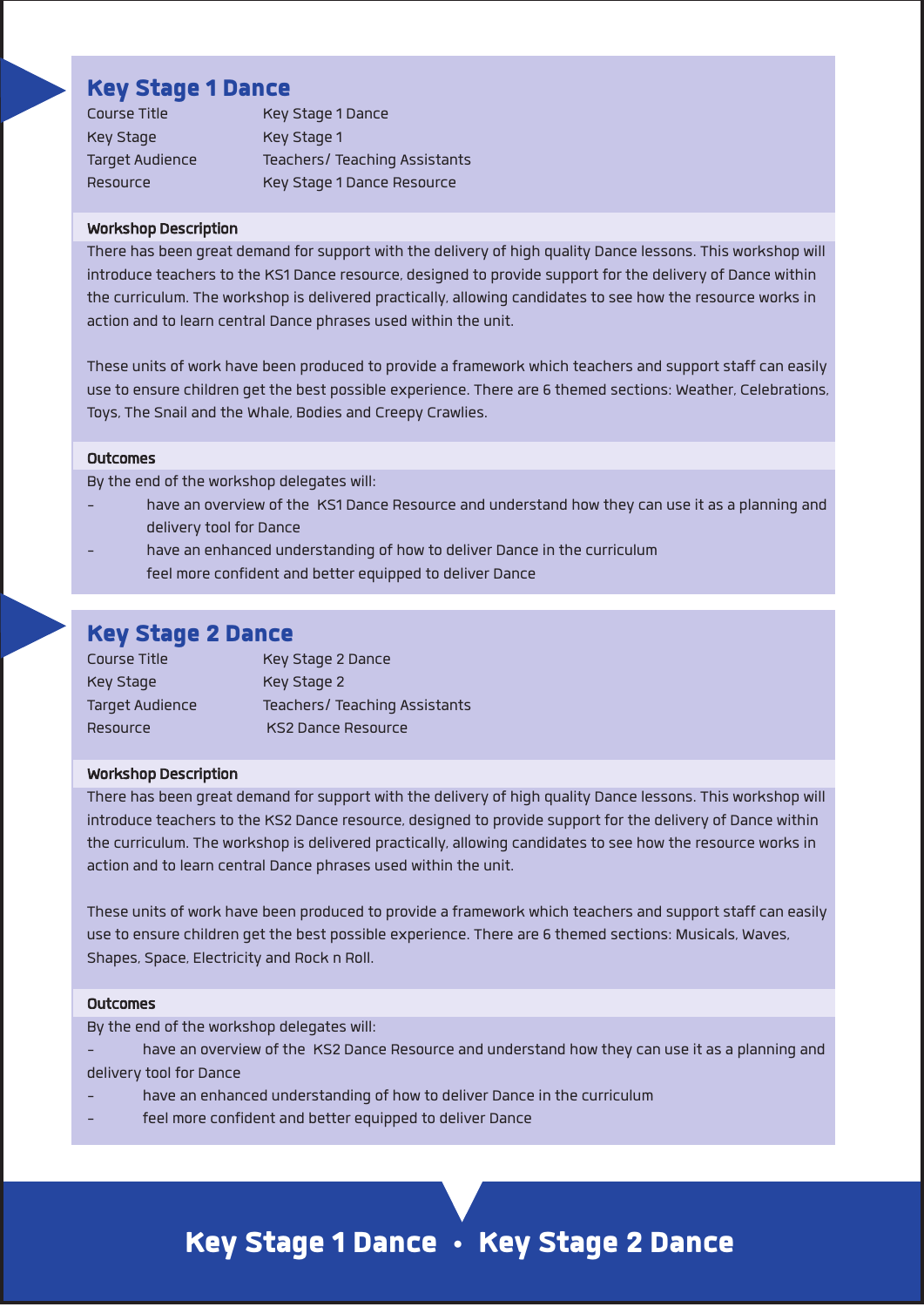## **Key Stage 1 Dance**

| Course Title           | Key Stage 1 Dance             |
|------------------------|-------------------------------|
| Key Stage              | Key Stage 1                   |
| <b>Target Audience</b> | Teachers/ Teaching Assistants |
| Resource               | Key Stage 1 Dance Resource    |

#### **Workshop Description**

There has been great demand for support with the delivery of high quality Dance lessons. This workshop will **introduce teachersto the KS1 Dance resource, designed to provide support for the delivery of Dance within the curriculum. The workshop is delivered practically, allowing candidatesto see how the resource worksin action and to learn central Dance phrases used within the unit.**

**These units of work have been produced to provide a framework which teachers and supportstaffcan easily use to ensure children get the best possible experience. There are 6 themed sections: Weather, Celebrations, Toys, The Snail and the Whale, Bodies and Creepy Crawlies.**

#### **Outcomes**

**Bythe end of the workshop delegates will:**

- have an overview of the KS1 Dance Resource and understand how they can use it as a planning and **deliverytool for Dance**
- **- have an enhanced understanding of how to deliver Dance in the curriculum feel more confident and better equipped to deliver Dance**

# **Key Stage 2 Dance**

| Course Title    | Key Stage 2 Dance             |
|-----------------|-------------------------------|
| Key Stage       | Key Stage 2                   |
| Target Audience | Teachers/ Teaching Assistants |
| Resource        | <b>KS2 Dance Resource</b>     |

#### **Workshop Description**

There has been great demand for support with the delivery of high quality Dance lessons. This workshop will **introduce teachersto the KS2 Dance resource, designed to provide support for the delivery of Dance within the curriculum. The workshop is delivered practically, allowing candidatesto see how the resource worksin action and to learn central Dance phrases used within the unit.**

**These units of work have been produced to provide a framework which teachers and supportstaffcan easily use to ensure children get the best possible experience. There are 6 themed sections: Musicals, Waves, Shapes, Space, Electricity and Rock n Roll.**

#### **Outcomes**

**Bythe end of the workshop delegates will:**

- have an overview of the KS2 Dance Resource and understand how they can use it as a planning and **deliverytool for Dance**
- **- have an enhanced understanding of how to deliver Dance in the curriculum**
- **- feel more confident and better equipped to deliver Dance**

# **Key Stage 1 Dance • Key Stage 2 Dance**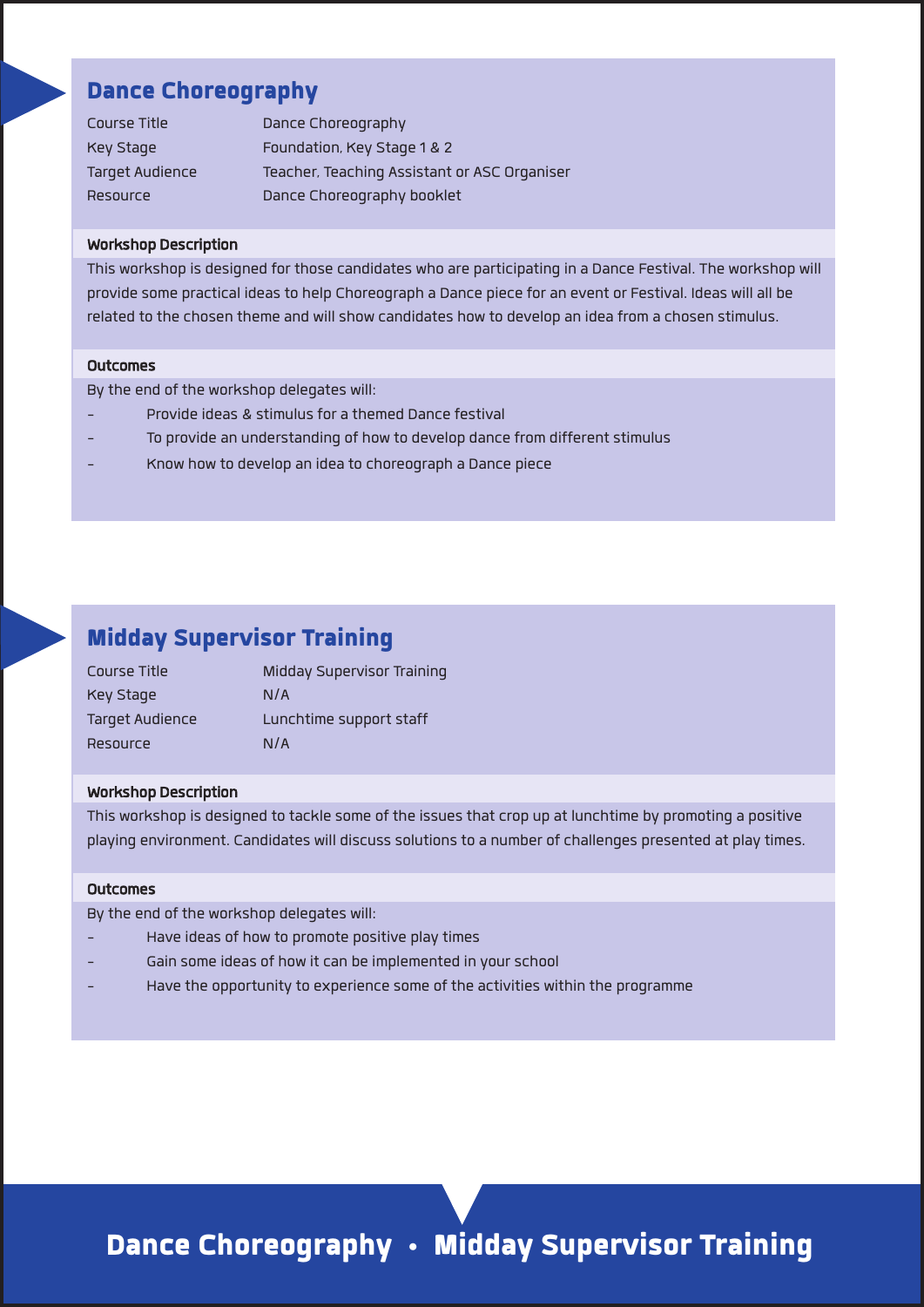### **Dance Choreography**

| Course Title           | Dance Choreography                           |
|------------------------|----------------------------------------------|
| Key Stage              | Foundation, Key Stage 1 & 2                  |
| <b>Target Audience</b> | Teacher, Teaching Assistant or ASC Organiser |
| Resource               | Dance Choreography booklet                   |

#### **Workshop Description**

This workshop is designed for those candidates who are participating in a Dance Festival. The workshop will provide some practical ideas to help Choreograph a Dance piece for an event or Festival. Ideas will all be **related to the chosen theme and willshow candidates how to develop an idea from a chosen stimulus.**

#### **Outcomes**

**Bythe end of the workshop delegates will:**

- **- Provide ideas & stimulusfor a themed Dance festival**
- **- To provide an understanding of how to develop dance from differentstimulus**
- **- Know how to develop an idea to choreograph a Dance piece**

### **Midday Supervisor Training**

| Course Title    | Midday Supervisor Training |
|-----------------|----------------------------|
| Key Stage       | N/A                        |
| Target Audience | Lunchtime support staff    |
| Resource        | N/A                        |

#### **Workshop Description**

**This workshop is designed to tackle some of the issuesthatcrop up at lunchtime by promoting a positive playing environment. Candidates will discusssolutionsto a number ofchallenges presented at playtimes.**

#### **Outcomes**

**Bythe end of the workshop delegates will:**

- **- Have ideas of how to promote positive playtimes**
- **- Gain some ideas of how itcan be implemented in yourschool**
- **- Have the opportunityto experience some of the activities within the programme**

**Dance Choreography • Midday Supervisor Training**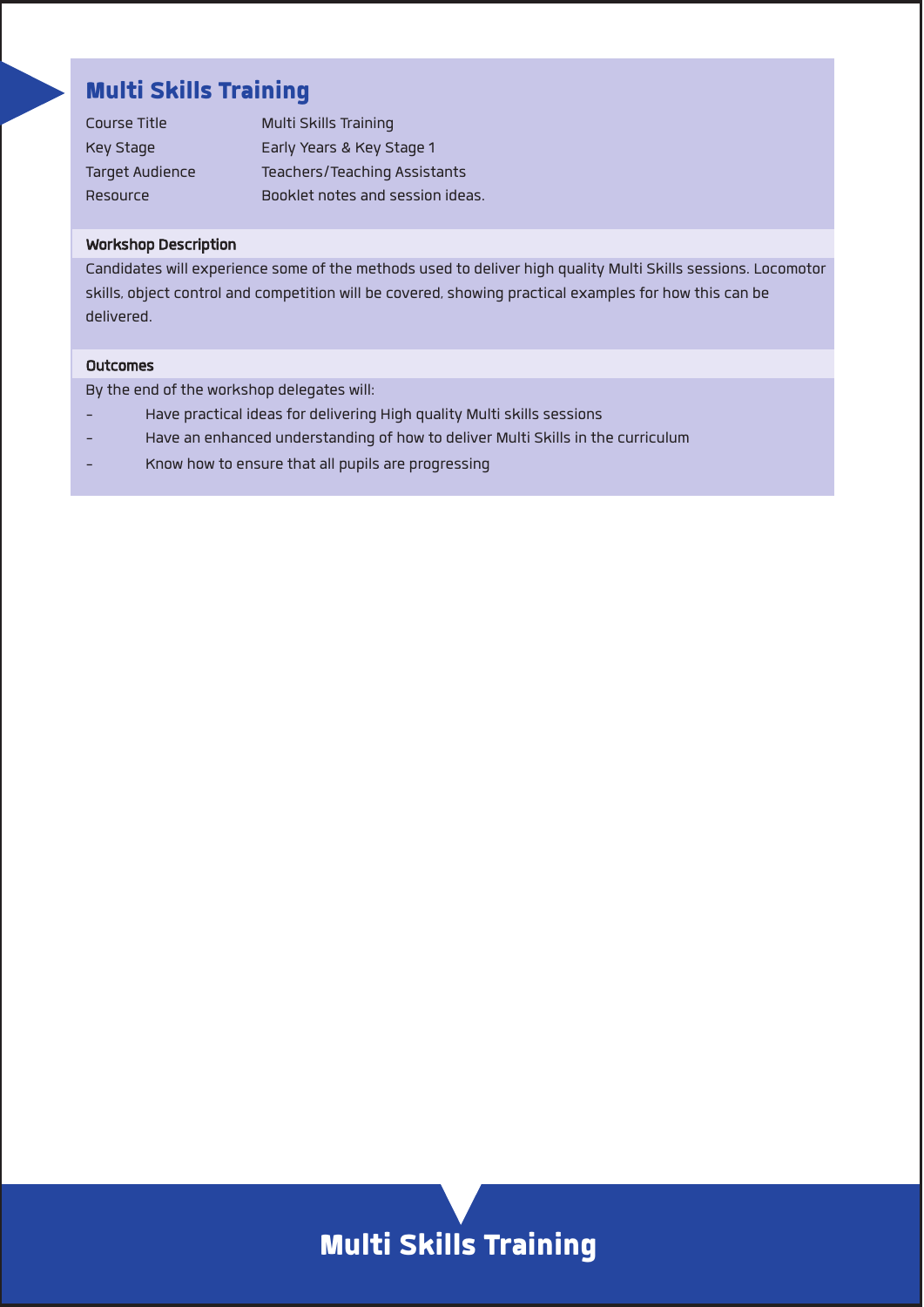# **Multi Skills Training**

| Course Title           | Multi Skills Training            |
|------------------------|----------------------------------|
| Key Stage              | Early Years & Key Stage 1        |
| <b>Target Audience</b> | Teachers/Teaching Assistants     |
| <b>Resource</b>        | Booklet notes and session ideas. |

#### **Workshop Description**

**Candidates will experience some of the methods used to deliver high quality Multi Skillssessions. Locomotor**  $s$ kills, object control and competition will be covered, showing practical examples for how this can be **delivered.**

#### **Outcomes**

**Bythe end of the workshop delegates will:**

- **- Have practical ideasfor delivering High quality Multiskillssessions**
- **- Have an enhanced understanding of how to deliver Multi Skillsin the curriculum**
- **- Know how to ensure that all pupils are progressing**